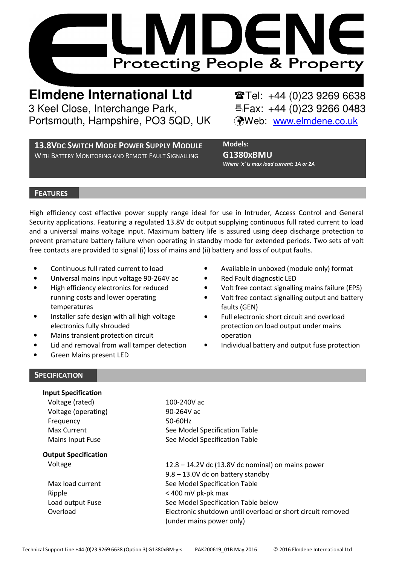

**Elmdene International Ltd** Tel: +44 (0)23 9269 6638 3 Keel Close, Interchange Park, Fax: +44 (0)23 9266 0483 Portsmouth, Hampshire, PO3 5QD, UK (Web: www.elmdene.co.uk

**13.8VDC SWITCH MODE POWER SUPPLY MODULE** WITH BATTERY MONITORING AND REMOTE FAULT SIGNALLING

Models: G1380xBMU Where 'x' is max load current: 1A or 2A

## **FEATURES**

High efficiency cost effective power supply range ideal for use in Intruder, Access Control and General Security applications. Featuring a regulated 13.8V dc output supplying continuous full rated current to load and a universal mains voltage input. Maximum battery life is assured using deep discharge protection to prevent premature battery failure when operating in standby mode for extended periods. Two sets of volt free contacts are provided to signal (i) loss of mains and (ii) battery and loss of output faults.

- Continuous full rated current to load
- Universal mains input voltage 90-264V ac
- High efficiency electronics for reduced running costs and lower operating temperatures
- Installer safe design with all high voltage electronics fully shrouded
- Mains transient protection circuit
- Lid and removal from wall tamper detection
- Green Mains present LED
- Available in unboxed (module only) format
- Red Fault diagnostic LED
- Volt free contact signalling mains failure (EPS)
- Volt free contact signalling output and battery faults (GEN)
- Full electronic short circuit and overload protection on load output under mains operation
- Individual battery and output fuse protection

## **SPECIFICATION**

| <b>Input Specification</b>  |                                                             |
|-----------------------------|-------------------------------------------------------------|
| Voltage (rated)             | 100-240V ac                                                 |
| Voltage (operating)         | 90-264V ac                                                  |
| Frequency                   | 50-60Hz                                                     |
| Max Current                 | See Model Specification Table                               |
| Mains Input Fuse            | See Model Specification Table                               |
| <b>Output Specification</b> |                                                             |
| Voltage                     | $12.8 - 14.2V$ dc (13.8V dc nominal) on mains power         |
|                             | 9.8 - 13.0V dc on battery standby                           |
| Max load current            | See Model Specification Table                               |
| Ripple                      | < 400 mV pk-pk max                                          |
| Load output Fuse            | See Model Specification Table below                         |
| Overload                    | Electronic shutdown until overload or short circuit removed |
|                             | (under mains power only)                                    |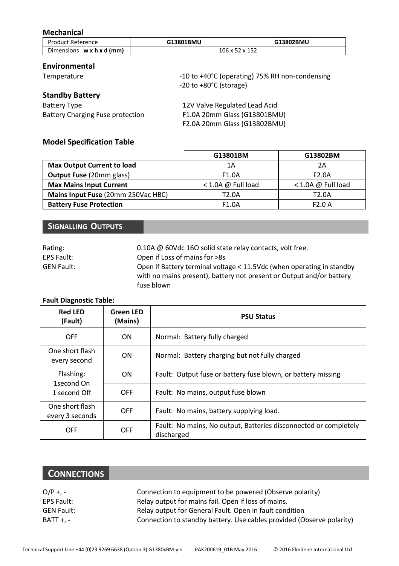## Mechanical

| <b>Product Reference</b>              | G13801BMU | G13802BMU      |
|---------------------------------------|-----------|----------------|
| Dimensions $w \times h \times d$ (mm) |           | 106 x 52 x 152 |

## Environmental

| Temperature                             | -10 to +40°C (operating) 75% RH non-condensing<br>$-20$ to $+80^{\circ}$ C (storage) |
|-----------------------------------------|--------------------------------------------------------------------------------------|
| <b>Standby Battery</b>                  |                                                                                      |
| <b>Battery Type</b>                     | 12V Valve Regulated Lead Acid                                                        |
| <b>Battery Charging Fuse protection</b> | F1.0A 20mm Glass (G13801BMU)                                                         |
|                                         | F2.0A 20mm Glass (G13802BMU)                                                         |

## Model Specification Table

|                                    | G13801BM             | G13802BM             |
|------------------------------------|----------------------|----------------------|
| Max Output Current to load         | 1Α                   | 2Α                   |
| <b>Output Fuse (20mm glass)</b>    | F <sub>1.0</sub> A   | F <sub>2.0</sub> A   |
| <b>Max Mains Input Current</b>     | $<$ 1.0A @ Full load | $<$ 1.0A @ Full load |
| Mains Input Fuse (20mm 250Vac HBC) | T2.0A                | T2.0A                |
| <b>Battery Fuse Protection</b>     | F <sub>1.0</sub> A   | F2.0A                |

# SIGNALLING OUTPUTS

| Rating:           | 0.10A @ 60Vdc 16 $\Omega$ solid state relay contacts, volt free.      |
|-------------------|-----------------------------------------------------------------------|
| EPS Fault:        | Open if Loss of mains for >8s                                         |
| <b>GEN Fault:</b> | Open if Battery terminal voltage < 11.5Vdc (when operating in standby |
|                   | with no mains present), battery not present or Output and/or battery  |
|                   | fuse blown                                                            |

#### Fault Diagnostic Table:

| <b>Red LED</b><br>(Fault)          | <b>Green LED</b><br>(Mains)        | <b>PSU Status</b>                                                              |
|------------------------------------|------------------------------------|--------------------------------------------------------------------------------|
| OFF                                | ON                                 | Normal: Battery fully charged                                                  |
| One short flash<br>every second    | ON                                 | Normal: Battery charging but not fully charged                                 |
| Flashing:                          | ON                                 | Fault: Output fuse or battery fuse blown, or battery missing                   |
| 1second On<br>OFF<br>1 second Off  | Fault: No mains, output fuse blown |                                                                                |
| One short flash<br>every 3 seconds | OFF                                | Fault: No mains, battery supplying load.                                       |
| OFF                                | OFF                                | Fault: No mains, No output, Batteries disconnected or completely<br>discharged |

# **CONNECTIONS**

| $O/P + -$  | Connection to equipment to be powered (Observe polarity)              |
|------------|-----------------------------------------------------------------------|
| EPS Fault: | Relay output for mains fail. Open if loss of mains.                   |
| GEN Fault: | Relay output for General Fault. Open in fault condition               |
| BATT +. -  | Connection to standby battery. Use cables provided (Observe polarity) |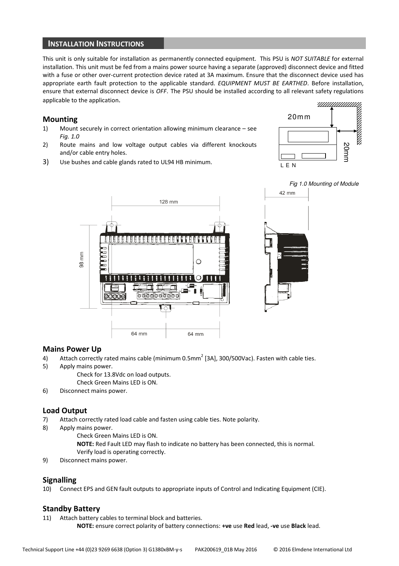#### INSTALLATION INSTRUCTIONS

This unit is only suitable for installation as permanently connected equipment. This PSU is NOT SUITABLE for external installation. This unit must be fed from a mains power source having a separate (approved) disconnect device and fitted with a fuse or other over-current protection device rated at 3A maximum. Ensure that the disconnect device used has appropriate earth fault protection to the applicable standard. EQUIPMENT MUST BE EARTHED. Before installation, ensure that external disconnect device is OFF. The PSU should be installed according to all relevant safety regulations applicable to the application.

#### Mounting

- 1) Mount securely in correct orientation allowing minimum clearance see Fig. 1.0
- 2) Route mains and low voltage output cables via different knockouts and/or cable entry holes.
- 3) Use bushes and cable glands rated to UL94 HB minimum.







#### Mains Power Up

- 4) Attach correctly rated mains cable (minimum 0.5mm<sup>2</sup> [3A], 300/500Vac). Fasten with cable ties.
- 5) Apply mains power.
	- Check for 13.8Vdc on load outputs.
		- Check Green Mains LED is ON.
- 6) Disconnect mains power.

#### Load Output

- 7) Attach correctly rated load cable and fasten using cable ties. Note polarity.
- 8) Apply mains power.
	- Check Green Mains LED is ON.
		- NOTE: Red Fault LED may flash to indicate no battery has been connected, this is normal. Verify load is operating correctly.
- 9) Disconnect mains power.

#### Signalling

10) Connect EPS and GEN fault outputs to appropriate inputs of Control and Indicating Equipment (CIE).

#### Standby Battery

11) Attach battery cables to terminal block and batteries. NOTE: ensure correct polarity of battery connections: +ve use Red lead, -ve use Black lead.